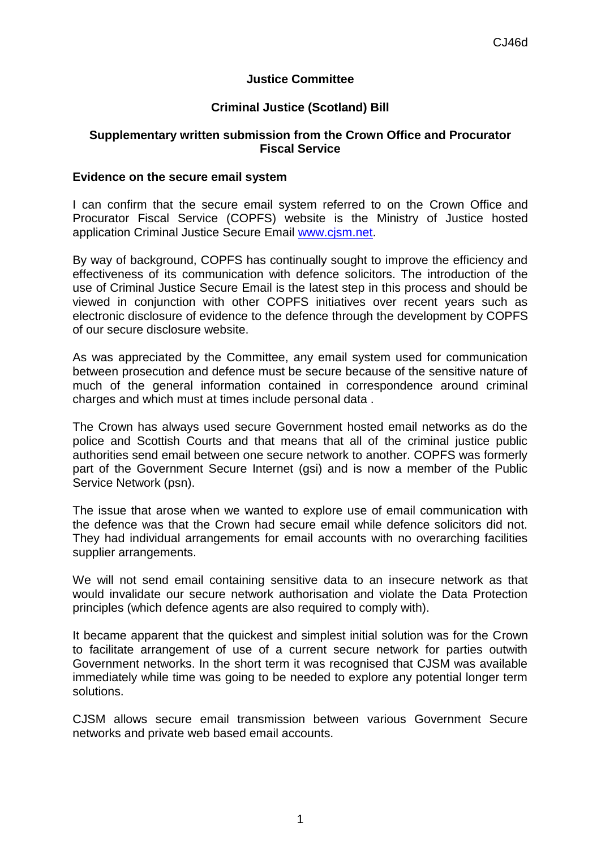## **Justice Committee**

## **Criminal Justice (Scotland) Bill**

## **Supplementary written submission from the Crown Office and Procurator Fiscal Service**

## **Evidence on the secure email system**

I can confirm that the secure email system referred to on the Crown Office and Procurator Fiscal Service (COPFS) website is the Ministry of Justice hosted application Criminal Justice Secure Email [www.cjsm.net.](http://www.cjsm.net/)

By way of background, COPFS has continually sought to improve the efficiency and effectiveness of its communication with defence solicitors. The introduction of the use of Criminal Justice Secure Email is the latest step in this process and should be viewed in conjunction with other COPFS initiatives over recent years such as electronic disclosure of evidence to the defence through the development by COPFS of our secure disclosure website.

As was appreciated by the Committee, any email system used for communication between prosecution and defence must be secure because of the sensitive nature of much of the general information contained in correspondence around criminal charges and which must at times include personal data .

The Crown has always used secure Government hosted email networks as do the police and Scottish Courts and that means that all of the criminal justice public authorities send email between one secure network to another. COPFS was formerly part of the Government Secure Internet (gsi) and is now a member of the Public Service Network (psn).

The issue that arose when we wanted to explore use of email communication with the defence was that the Crown had secure email while defence solicitors did not. They had individual arrangements for email accounts with no overarching facilities supplier arrangements.

We will not send email containing sensitive data to an insecure network as that would invalidate our secure network authorisation and violate the Data Protection principles (which defence agents are also required to comply with).

It became apparent that the quickest and simplest initial solution was for the Crown to facilitate arrangement of use of a current secure network for parties outwith Government networks. In the short term it was recognised that CJSM was available immediately while time was going to be needed to explore any potential longer term solutions.

CJSM allows secure email transmission between various Government Secure networks and private web based email accounts.